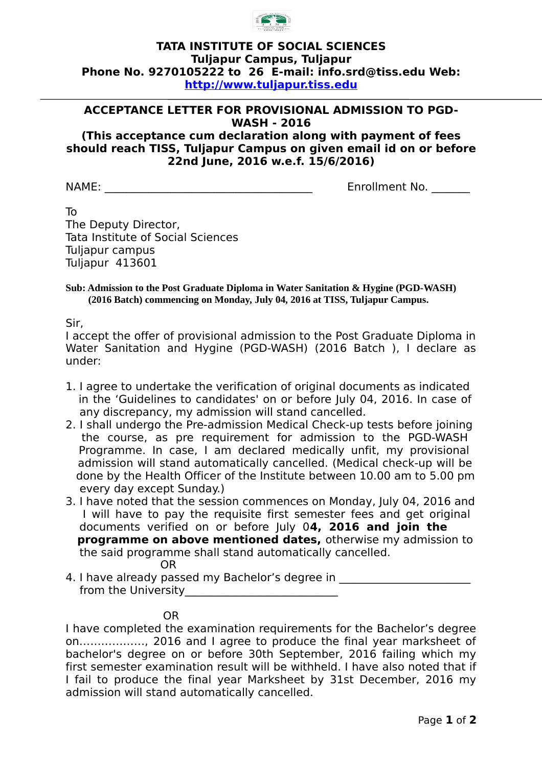

## **TATA INSTITUTE OF SOCIAL SCIENCES Tuljapur Campus, Tuljapur Phone No. 9270105222 to 26 E-mail: info.srd@tiss.edu Web: [http://www.tuljapur.tiss.edu](http://www.tuljapur.tiss.edu/)**

## **ACCEPTANCE LETTER FOR PROVISIONAL ADMISSION TO PGD-WASH - 2016**

**(This acceptance cum declaration along with payment of fees should reach TISS, Tuljapur Campus on given email id on or before 22nd June, 2016 w.e.f. 15/6/2016)**

NAME: The contract of the contract of the contract of the contract of the contract of the contract of the contract of the contract of the contract of the contract of the contract of the contract of the contract of the cont

To The Deputy Director, Tata Institute of Social Sciences Tuljapur campus Tuljapur 413601

**Sub: Admission to the Post Graduate Diploma in Water Sanitation & Hygine (PGD-WASH) (2016 Batch) commencing on Monday, July 04, 2016 at TISS, Tuljapur Campus.**

Sir,

I accept the offer of provisional admission to the Post Graduate Diploma in Water Sanitation and Hygine (PGD-WASH) (2016 Batch ), I declare as under:

- 1. I agree to undertake the verification of original documents as indicated in the 'Guidelines to candidates' on or before July 04, 2016. In case of any discrepancy, my admission will stand cancelled.
- 2. I shall undergo the Pre-admission Medical Check-up tests before joining the course, as pre requirement for admission to the PGD-WASH Programme. In case, I am declared medically unfit, my provisional admission will stand automatically cancelled. (Medical check-up will be done by the Health Officer of the Institute between 10.00 am to 5.00 pm every day except Sunday.)
- 3. I have noted that the session commences on Monday, July 04, 2016 and I will have to pay the requisite first semester fees and get original documents verified on or before July 0**4, 2016 and join the programme on above mentioned dates,** otherwise my admission to the said programme shall stand automatically cancelled.

OR

4. I have already passed my Bachelor's degree in \_\_\_\_\_\_\_\_\_\_\_\_\_\_\_\_\_\_\_\_\_\_\_\_\_\_\_\_\_\_\_ from the University **Example 20** 

I have completed the examination requirements for the Bachelor's degree on………………, 2016 and I agree to produce the final year marksheet of bachelor's degree on or before 30th September, 2016 failing which my first semester examination result will be withheld. I have also noted that if I fail to produce the final year Marksheet by 31st December, 2016 my admission will stand automatically cancelled.

OR